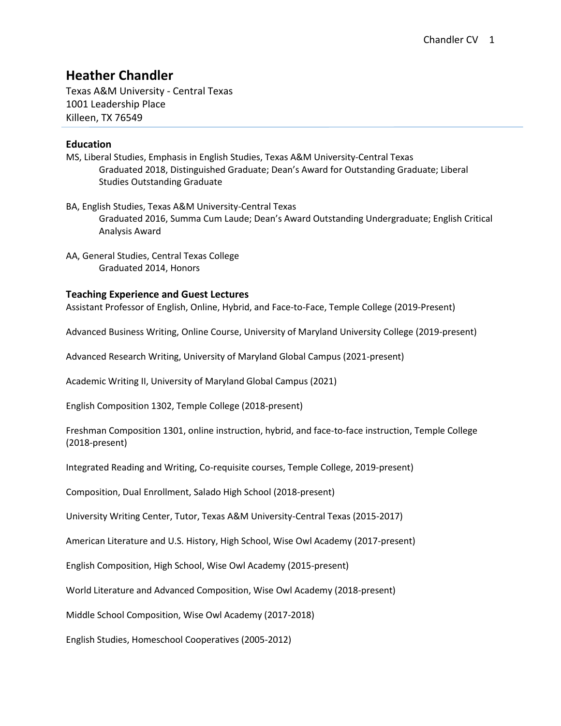# **Heather Chandler**

Texas A&M University - Central Texas 1001 Leadership Place Killeen, TX 76549

## **Education**

- MS, Liberal Studies, Emphasis in English Studies, Texas A&M University-Central Texas Graduated 2018, Distinguished Graduate; Dean's Award for Outstanding Graduate; Liberal Studies Outstanding Graduate
- BA, English Studies, Texas A&M University-Central Texas Graduated 2016, Summa Cum Laude; Dean's Award Outstanding Undergraduate; English Critical Analysis Award
- AA, General Studies, Central Texas College Graduated 2014, Honors

## **Teaching Experience and Guest Lectures**

Assistant Professor of English, Online, Hybrid, and Face-to-Face, Temple College (2019-Present)

Advanced Business Writing, Online Course, University of Maryland University College (2019-present)

Advanced Research Writing, University of Maryland Global Campus (2021-present)

Academic Writing II, University of Maryland Global Campus (2021)

English Composition 1302, Temple College (2018-present)

Freshman Composition 1301, online instruction, hybrid, and face-to-face instruction, Temple College (2018-present)

Integrated Reading and Writing, Co-requisite courses, Temple College, 2019-present)

Composition, Dual Enrollment, Salado High School (2018-present)

University Writing Center, Tutor, Texas A&M University-Central Texas (2015-2017)

American Literature and U.S. History, High School, Wise Owl Academy (2017-present)

English Composition, High School, Wise Owl Academy (2015-present)

World Literature and Advanced Composition, Wise Owl Academy (2018-present)

Middle School Composition, Wise Owl Academy (2017-2018)

English Studies, Homeschool Cooperatives (2005-2012)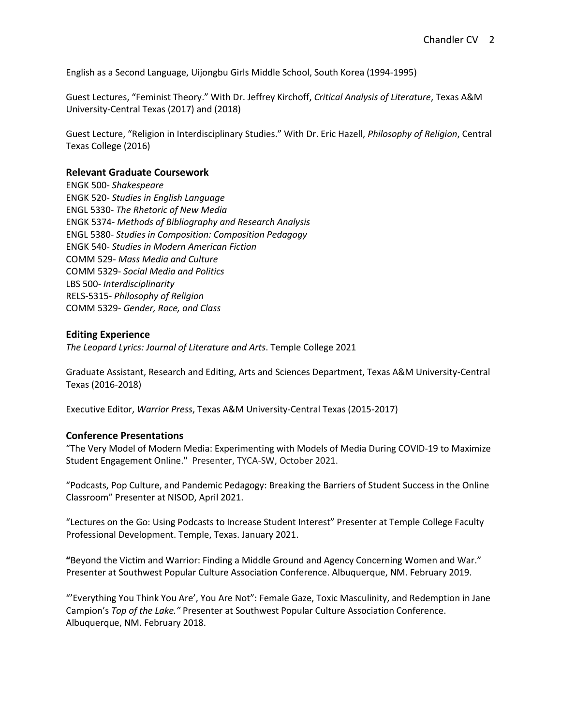English as a Second Language, Uijongbu Girls Middle School, South Korea (1994-1995)

Guest Lectures, "Feminist Theory." With Dr. Jeffrey Kirchoff, *Critical Analysis of Literature*, Texas A&M University-Central Texas (2017) and (2018)

Guest Lecture, "Religion in Interdisciplinary Studies." With Dr. Eric Hazell, *Philosophy of Religion*, Central Texas College (2016)

#### **Relevant Graduate Coursework**

ENGK 500- *Shakespeare* ENGK 520- *Studies in English Language* ENGL 5330- *The Rhetoric of New Media* ENGK 5374- *Methods of Bibliography and Research Analysis* ENGL 5380- *Studies in Composition: Composition Pedagogy* ENGK 540- *Studies in Modern American Fiction* COMM 529- *Mass Media and Culture* COMM 5329- *Social Media and Politics* LBS 500- *Interdisciplinarity* RELS-5315- *Philosophy of Religion* COMM 5329- *Gender, Race, and Class*

#### **Editing Experience**

*The Leopard Lyrics: Journal of Literature and Arts*. Temple College 2021

Graduate Assistant, Research and Editing, Arts and Sciences Department, Texas A&M University-Central Texas (2016-2018)

Executive Editor, *Warrior Press*, Texas A&M University-Central Texas (2015-2017)

### **Conference Presentations**

"The Very Model of Modern Media: Experimenting with Models of Media During COVID-19 to Maximize Student Engagement Online." Presenter, TYCA-SW, October 2021.

"Podcasts, Pop Culture, and Pandemic Pedagogy: Breaking the Barriers of Student Success in the Online Classroom" Presenter at NISOD, April 2021.

"Lectures on the Go: Using Podcasts to Increase Student Interest" Presenter at Temple College Faculty Professional Development. Temple, Texas. January 2021.

**"**Beyond the Victim and Warrior: Finding a Middle Ground and Agency Concerning Women and War." Presenter at Southwest Popular Culture Association Conference. Albuquerque, NM. February 2019.

"'Everything You Think You Are', You Are Not": Female Gaze, Toxic Masculinity, and Redemption in Jane Campion's *Top of the Lake."* Presenter at Southwest Popular Culture Association Conference. Albuquerque, NM. February 2018.